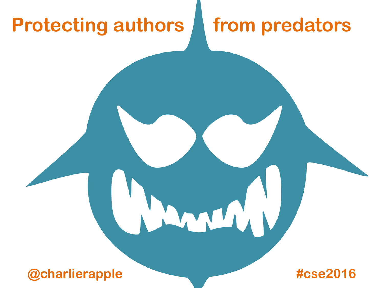#### **Protecting authors from predators**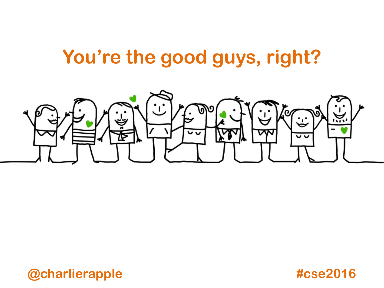#### **You're the good guys, right?**

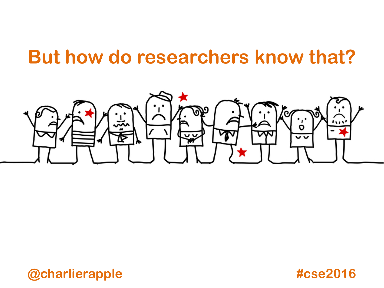#### **But how do researchers know that?**

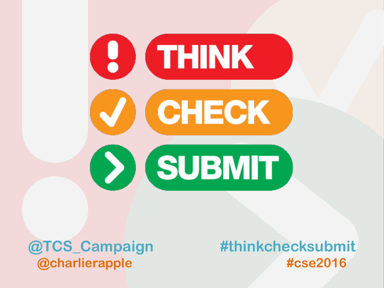

**@TCS\_Campaign**

**#thinkchecksubmit @charlierapple #cse2016**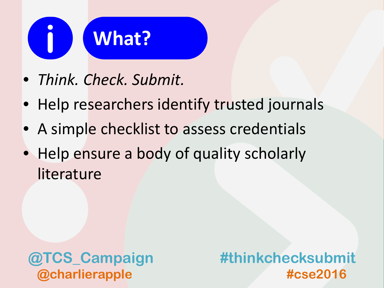

- *Think. Check. Submit.*
- Help researchers identify trusted journals
- A simple checklist to assess credentials
- Help ensure a body of quality scholarly literature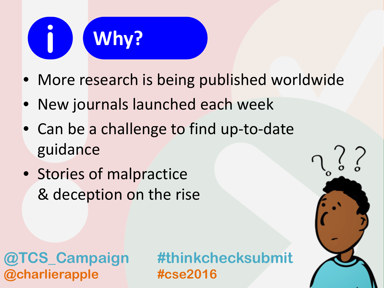## **Why? i**

- More research is being published worldwide
- New journals launched each week
- Can be a challenge to find up-to-date guidance
- Stories of malpractice & deception on the rise

**@charlierapple #cse2016**

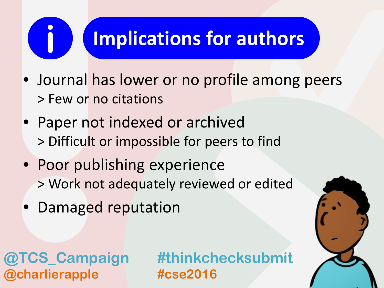### **Implications for authors**

- Journal has lower or no profile among peers > Few or no citations
- Paper not indexed or archived > Difficult or impossible for peers to find
- Poor publishing experience > Work not adequately reviewed or edited
- Damaged reputation

**@charlierapple #cse2016**

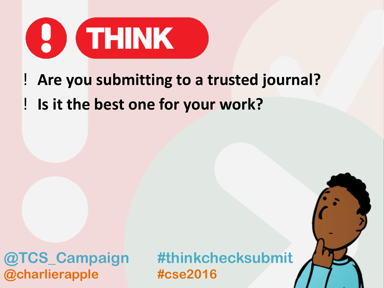

### ! **Are you submitting to a trusted journal?** ! **Is it the best one for your work?**

**@charlierapple #cse2016**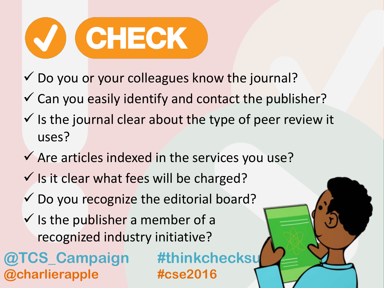

- $\checkmark$  Do you or your colleagues know the journal?
- $\checkmark$  Can you easily identify and contact the publisher?
- $\checkmark$  is the journal clear about the type of peer review it uses?
- $\checkmark$  Are articles indexed in the services you use?
- $\checkmark$  is it clear what fees will be charged?
- $\checkmark$  Do you recognize the editorial board?
- $\checkmark$  is the publisher a member of a recognized industry initiative?
- **@TCS\_Campaign #thinkchecks @charlierapple #cse2016**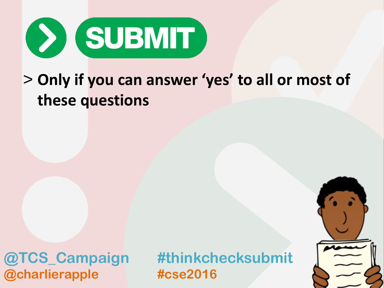

#### > **Only if you can answer 'yes' to all or most of these questions**

**@charlierapple #cse2016**

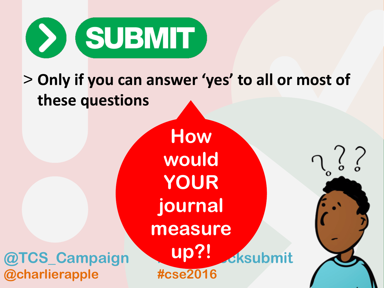

#### > **Only if you can answer 'yes' to all or most of these questions**

**@TCS\_Campaign & Up: Eksubmit How would YOUR journal measure up?!**

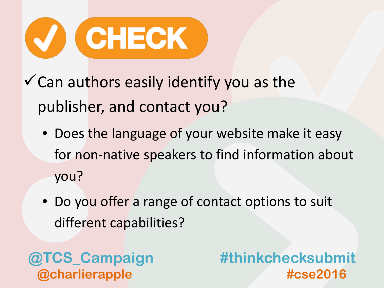

 $\checkmark$  Can authors easily identify you as the publisher, and contact you?

- Does the language of your website make it easy for non-native speakers to find information about you?
- Do you offer a range of contact options to suit different capabilities?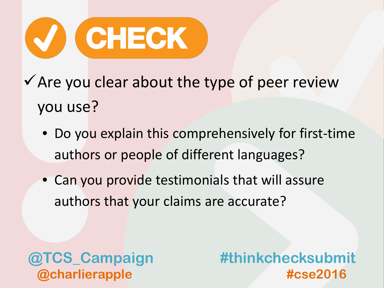

- $\checkmark$  Are you clear about the type of peer review you use?
	- Do you explain this comprehensively for first-time authors or people of different languages?
	- Can you provide testimonials that will assure authors that your claims are accurate?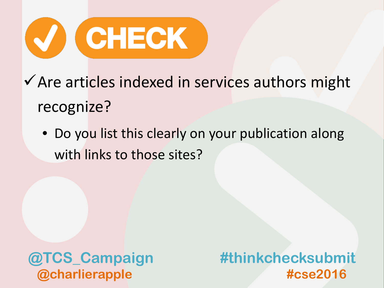

- $\checkmark$  Are articles indexed in services authors might recognize?
	- Do you list this clearly on your publication along with links to those sites?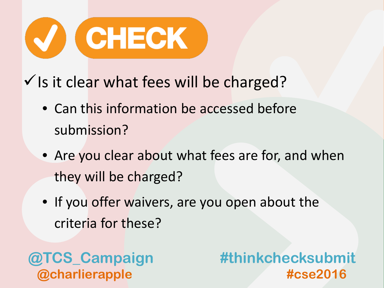

 $\checkmark$  is it clear what fees will be charged?

- Can this information be accessed before submission?
- Are you clear about what fees are for, and when they will be charged?
- If you offer waivers, are you open about the criteria for these?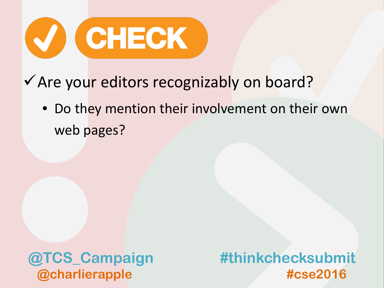

- ◆ Are your editors recognizably on board?
	- Do they mention their involvement on their own web pages?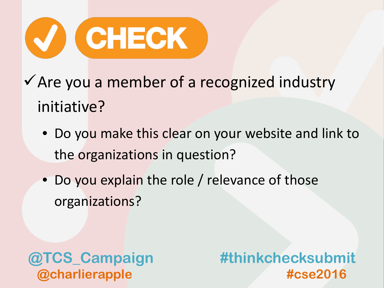

- $\checkmark$  Are you a member of a recognized industry initiative?
	- Do you make this clear on your website and link to the organizations in question?
	- Do you explain the role / relevance of those organizations?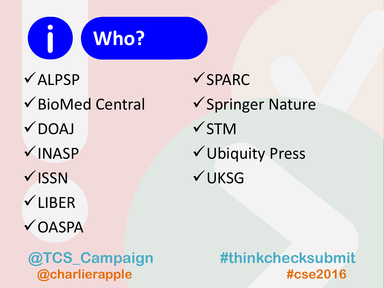

 $\checkmark$ ALPSP BioMed Central  $V$ DOAJ  $\nu$ INASP  $\checkmark$  ISSN **√LIBER √OASPA** 

 $\checkmark$ SPARC

 $\checkmark$  Springer Nature **√STM** Ubiquity Press **√UKSG**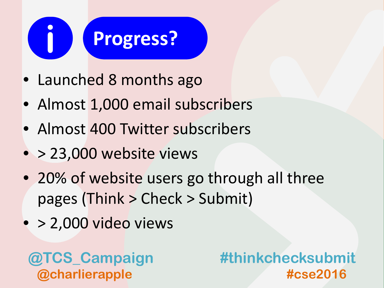# **Progress? i**

- Launched 8 months ago
- Almost 1,000 email subscribers
- Almost 400 Twitter subscribers
- > 23,000 website views
- 20% of website users go through all three pages (Think > Check > Submit)
- $\bullet$  > 2,000 video views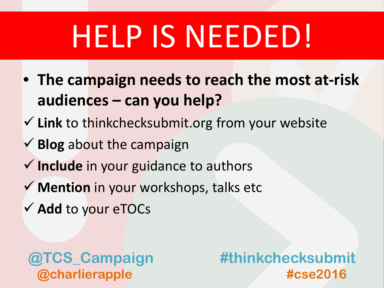## HELP IS NEEDED!

- **The campaign needs to reach the most at-risk audiences – can you help?**
- **Link** to thinkchecksubmit.org from your website
- **Blog** about the campaign
- **Include** in your guidance to authors
- **Mention** in your workshops, talks etc
- **Add** to your eTOCs